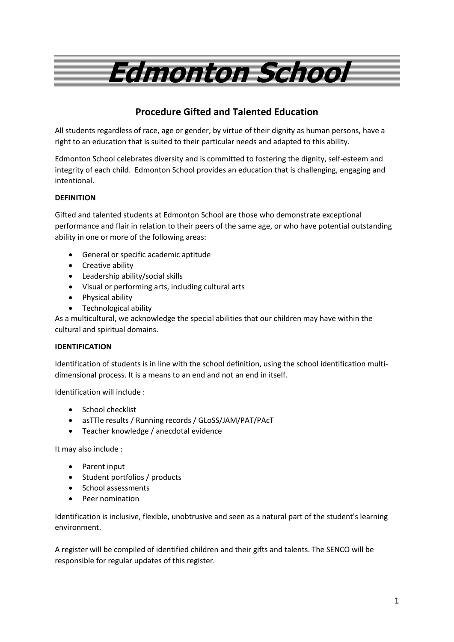# **Edmonton School**

# **Procedure Gifted and Talented Education**

All students regardless of race, age or gender, by virtue of their dignity as human persons, have a right to an education that is suited to their particular needs and adapted to this ability.

Edmonton School celebrates diversity and is committed to fostering the dignity, self-esteem and integrity of each child. Edmonton School provides an education that is challenging, engaging and intentional.

## **DEFINITION**

Gifted and talented students at Edmonton School are those who demonstrate exceptional performance and flair in relation to their peers of the same age, or who have potential outstanding ability in one or more of the following areas:

- General or specific academic aptitude
- Creative ability
- Leadership ability/social skills
- Visual or performing arts, including cultural arts
- Physical ability
- Technological ability

As a multicultural, we acknowledge the special abilities that our children may have within the cultural and spiritual domains.

### **IDENTIFICATION**

Identification of students is in line with the school definition, using the school identification multidimensional process. It is a means to an end and not an end in itself.

Identification will include :

- School checklist
- asTTle results / Running records / GLoSS/JAM/PAT/PAcT
- Teacher knowledge / anecdotal evidence

It may also include :

- Parent input
- Student portfolios / products
- School assessments
- Peer nomination

Identification is inclusive, flexible, unobtrusive and seen as a natural part of the student's learning environment.

A register will be compiled of identified children and their gifts and talents. The SENCO will be responsible for regular updates of this register.